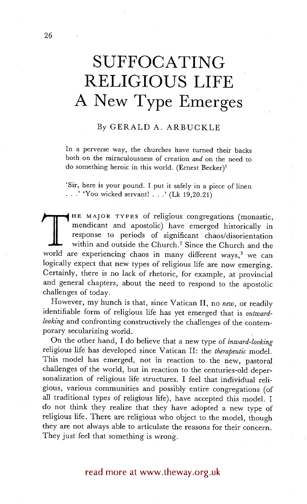# **SUFFOCATING RELIGIOUS LIFE A New Type Emerges**

## By GERALD A. ARBUCKLE

In a perverse way, the churches have turned their backs both on the miraculousness of creation *and* on the need to do something heroic in this world. (Ernest Becker)<sup>1</sup>

'Sir, here is your pound. I put it safely in a piece of linen  $\ldots$ .' 'You wicked servant!  $\ldots$ ' (Lk 19,20.21)

THE MAJOR TYPES of religious congregations (monastic,<br>mendicant and apostolic) have emerged historically in<br>response to periods of significant chaos/disorientation<br>within and outside the Church.<sup>2</sup> Since the Church and the mendicant and apostolic) have emerged historically in response to periods of significant chaos/disorientation within and outside the Church. 2 Since the Church and the world are experiencing chaos in many different ways,<sup>3</sup> we can logically expect that new types of religious life are now emerging. Certainly, there is no lack of rhetoric, for example, at provincial and general chapters, about the need to respond to the apostolic challenges of today.

However, my hunch is that, since Vatican II, no *new,* or readily identifiable form of religious life has yet emerged that is *outwardlooking* and confronting constructively the challenges of the contemporary secularizing world.

On the other hand, I do believe that a new type of *inward-looking*  religious life has developed since Vatican II: the *therapeutic* model. This model has emerged, not in reaction to the new, pastoral challenges of the world, but in reaction to the centuries-old depersonalization of religious life structures. I feel that individual religious, various communities and possibly entire congregations (of all traditional types of religious life), have accepted this model. I do not think they realize that they have adopted a new type of religious life. There are religious who object to the model, though they are not always able to articulate the reasons for their concern. They just feel that something is wrong.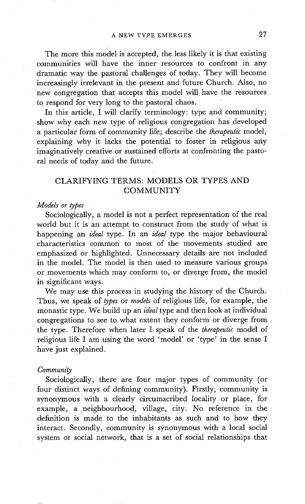The more this model is accepted, the less likely it is that existing communities will have the inner resources to confront in any dramatic way the pastoral challenges of today. They will become increasingly irrelevant in the present and future Church. Also, no new congregation that accepts this model will have the resources to respond for very long to the pastoral chaos.

In this article, I will clarify terminology: type and community; show why each new type of religious congregation has developed a particular form of community life; describe the *therapeutic* model, explaining why it lacks the potential to foster in religious any imaginatively creative or sustained efforts at confronting the pastoral needs of today and the future.

## CLARIFYING TERMS: **MODELS OR** TYPES AND **COMMUNITY**

#### *Models or types*

Sociologically, a model is not a perfect representation of the real world but it is an attempt to construct from the study of what is happening an *ideal* type. In an *ideal* type the major behavioural characteristics common to most of the movements studied are emphasized or highlighted. Unnecessary details are not included in the model. The model is then used to measure various groups or movements which may conform to, or diverge from, the model in significant ways.

We may use this process in studying the history of the Church. Thus, we speak of *types* or *models* of religious life, for example, the monastic type. We build up an *ideal* type and then look at individual congregations to see to what extent they conform or diverge from the type. Therefore when later I speak of the *therapeutic* model of religious life I am using the word 'model' or 'type' in the sense I have just explained.

#### *Community*

Sociologically, there are four major types of community (or four distinct ways of defining community). Firstly, community is synonymous with a clearly circumscribed locality or place, for example, a neighbourhood, village, city. No reference in the definition is made to the inhabitants as such and to how they interact. Secondly, community is synonymous with a local social system or social network, that is a set of social relationships that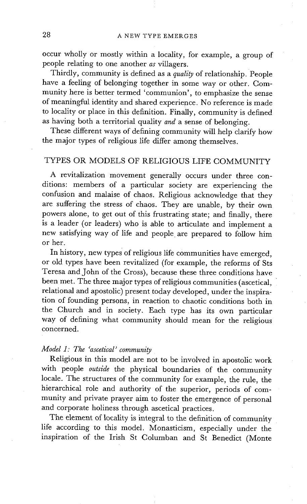occur wholly or mostly within a locality, for example, a group of people relating to one another *as* villagers.

Thirdly, community is defined as a *quality* of relationship. People have a feeling of belonging together in some way or other. Community here is better termed 'communion', to emphasize the sense of meaningful identity and shared experience. No reference is made to locality or place in this definition. Finally, community is defined as having both a territorial quality *and* a sense of belonging.

These different ways of defining community will help clarify how the major types of religious life differ among themselves.

## TYPES OR MODELS OF RELIGIOUS LIFE COMMUNITY

A revitalization movement generally occurs under three conditions: members of a particular society are experiencing the confusion and malaise of chaos. Religious acknowledge that they are suffering the stress of chaos. They are unable, by their own powers alone, to get out of this frustrating state; and finally, there is a leader (or leaders) who is able to articulate and implement a new satisfying way of life and people, are prepared to follow him or her.

In history, new types of religious life communities have emerged, or old types have been revitalized (for example, the reforms of Sts Teresa and John of the Cross), because these three conditions have been met. The three major types of religious communities (ascetical, relational and apostolic) present today developed, under the inspiration of founding persons, in reaction to chaotic conditions both in the Church and in society. Each type has its own particular way of defining what community should mean for the religious concerned.

# *Model 1: The 'ascetical' community*

Religious in this model are not to be involved in apostolic work with people *outside* the physical boundaries of the community locale. The structures of the community for example, the rule, the hierarchical role and authority of the superior, periods of community and private prayer aim to foster the emergence of personal and corporate holiness through ascetical practices.

The element of locality is integral to the definition of community life according to this model. Monasticism, especially under the inspiration of the Irish St Columban and St Benedict (Monte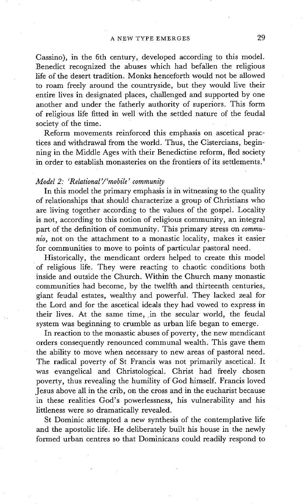Cassino), in the 6th century, developed according to this model. Benedict recognized the abuses which had befallen the religious life of the desert tradition. Monks henceforth would not be allowed to roam freely around the countryside, but they would live their entire lives in designated places, challenged and supported by one another and under the fatherly authority of superiors. This form of religious life fitted in well with the settled nature of the feudal society of the time.

Reform movements reinforced this emphasis on ascetical practices and withdrawal from the world. Thus, the Cistercians, beginning in the Middle Ages with their Benedictine reform, fled society in order to establish monasteries on the frontiers of its settlements.<sup>4</sup>

# *Model 2: 'Relational'/'mobile' community*

In this model the primary emphasis is in witnessing to the quality of relationships that should characterize a group of Christians who are living together according to the values of the gospel. Locality is not, according to this notion of religious community, an integral part of the definition of community. This primary stress on *communio,* not on the attachment to a monastic locality, makes it easier for communities to move to points of particular pastoral need.

Historically, the mendicant orders helped to create this model of religious life. They were reacting to chaotic conditions both inside and outside the Church. Within the Church many monastic communities had become, by the twelfth and thirteenth centuries, giant feudal estates, wealthy and powerful. They lacked zeal for the Lord and for the ascetical ideals they had vowed to express in their lives. At the same time, in the secular world, the feudal system was beginning to crumble as urban life began to emerge.

In reaction to the monastic abuses of poverty, the new mendicant orders consequently renounced communal wealth. This gave them the ability to move when necessary to new areas of pastoral need. The radical poverty of St Francis was not primarily ascetical. It was evangelical and Christological. Christ had freely chosen poverty, thus revealing the humility of God himself. Francis loved Jesus above all in the crib, on the cross and in the eucharist because in these realities God's powerlessness, his vulnerability and his littleness were so dramatically revealed.

St Dominic attempted a new synthesis of the contemplative life and the apostolic life. He deliberately built his house in the newly formed urban centres so that Dominicans could readily respond to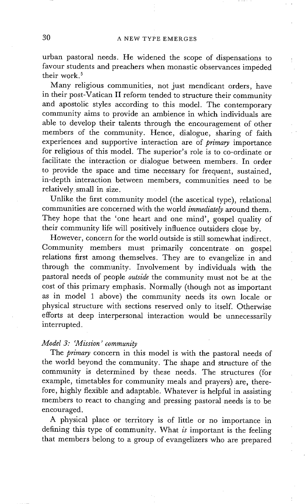urban pastoral needs. He widened the scope of dispensations to favour students and preachers when monastic observances impeded their work. 5

Many religious communities, not just mendicant orders, have in their post-Vatican II reform tended to structure their community and apostolic styles according to this model. The contemporary community aims to provide an ambience in which individuals are able to develop their talents through the encouragement of other members of the community. Hence, dialogue, sharing of faith experiences and supportive interaction are of *primary* importance for religious of this model. The superior's role is to co-ordinate or facilitate the interaction or dialogue between members. In order to provide the space and time necessary for frequent, sustained, in-depth interaction between members, communities need to be relatively small in size.

Unlike the first community model (the ascetical type), relational communities are concerned with the world *immediately* around them. They hope that the 'one heart and one mind', gospel quality of their community life will positively influence outsiders close by.

However, concern for the world outside is still somewhat indirect. Community members must primarily concentrate on gospel relations first among themselves. They are to evangelize in and through the community. Involvement by individuals with the pastoral needs of people *outside* the community must not be at the cost of this primary emphasis. Normally (though not as important as in model 1 above) the community needs its own locale or physical structure with sections reserved only to itself. Otherwise efforts at deep interpersonal interaction would be unnecessarily interrupted.

## *Model 3: 'Mission' community*

The *primary* concern in this model is with the pastoral needs of the world beyond the community. The shape and structure of the community is determined by these needs. The structures (for example, timetables for community meals and prayers) are, therefore, highly flexible and adaptable. Whatever is helpful in assisting members to react to changing and pressing pastoral needs is to be encouraged.

A physical place or territory is of little or no importance in defining this type of community. What *is* important is the feeling that members belong to a group of evangelizers who are prepared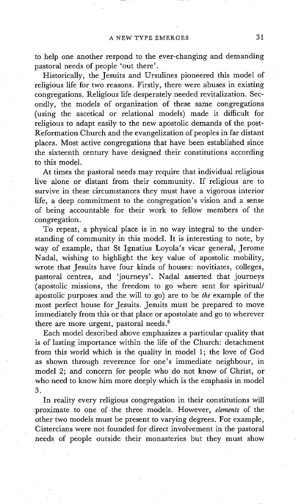to help one another respond to the ever-changing and demanding pastoral needs of people 'out there'.

Historically, the Jesuits and Ursulines pioneered this model of religious life for two reasons. Firstly, there were abuses in existing congregations. Religious life desperately needed revitalization. Secondly, the models of organization of these same congregations (using the ascetical or relational models) made it difficult for religious to adapt easily to the new apostolic demands of the post-Reformation Church and the evangelization of peoples in far distant places. Most active congregations that have been established since the sixteenth century have designed their constitutions according to this model.

At times the pastoral needs may require that individual religious live alone or distant from their community. If religious are to survive in these circumstances they must have a vigorous interior life, a deep commitment to the congregation's vision and a sense of being accountable for their work to fellow members of the congregation.

To repeat, a physical place is in no way integral to the understanding of community in this model. It is interesting to note, by way of example, that St Ignatius Loyola's vicar general, Jerome Nadal, wishing to highlight the key value of apostolic mobility, wrote that Jesuits have four kinds of houses: novitiates, colleges, pastoral centres, and 'journeys'. Nadal asserted that journeys (apostolic missions, the freedom to go where sent for spiritual/ apostolic purposes and the will to go) are to be *the* example of the most perfect house for Jesuits. Jesuits must be prepared to move immediately from this or that place or apostolate and go to wherever there are more urgent, pastoral needs. 6

Each model described above emphasizes a particular quality that is of lasting importance within the life of the Church: detachment from this world which is the quality in model 1; the love of God as shown through reverence for one's immediate neighbour, in model 2; and concern for people who do not know of Christ, or who need to know him more deeply which is the emphasis in model 3.

In reality every religious congregation in their constitutions will proximate to one of .the three models. However, *elements* of the other two models must be present to varying degrees. For example, Cistercians were not founded for direct involvement in the pastoral needs of people outside their monasteries but they must show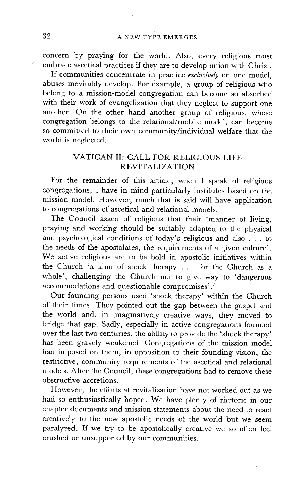concern by praying for the world. Also, every religious must embrace ascetical practices if they are to develop union with Christ.

If communities concentrate in practice *exclusively* on one model, abuses inevitably develop. For example, a group of religious who belong to a mission-model congregation can become so absorbed with their work of evangelization that they neglect to support one another. On the other hand another group of religious, whose congregation belongs to the relational/mobile model, can become so committed to their own community/individual welfare that the world is neglected.

## VATICAN II: CALL FOR RELIGIOUS LIFE REVITALIZATION

For the remainder of this article, when I speak of religious congregations, I have in mind particularly institutes based on the mission model. However, much that is said will have application to congregations of ascetical and relational models.

The Council asked of religious that their 'manner of living, praying and working should be suitably adapted to the physical and psychological conditions of today's religious and also . . . to the needs of the apostolates, the requirements of a given culture'. We active religious are to be bold in apostolic initiatives within the Church 'a kind of shock therapy . . . for the Church as a whole', challenging the Church not to give way to 'dangerous accommodations and questionable compromises'. 7

Our founding persons used 'shock therapy' within the Church of their times. They pointed out the gap between the gospel and the world and, in imaginatively creative ways, they moved to bridge that gap. Sadly, especially in active congregations founded over the last two centuries, the ability to provide the 'shock therapy' has been gravely weakened. Congregations of the mission model had imposed on them, in opposition to their founding vision, the restrictive, community requirements of the ascetical and relational models. After the Council, these congregations had to remove these obstructive accretions.

However, the efforts at revitalization have not worked out as we had so enthusiastically hoped. We have plenty of rhetoric in our chapter documents and mission statements about the need to react creatively to the new apostolic needs of the world but we seem paralyzed. If we try to be apostolically creative we so often feel crushed or unsupported by our communities.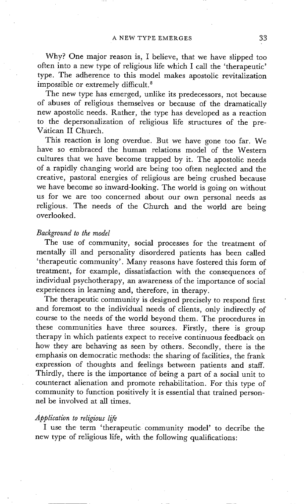Why? One major reason is, I believe, that we have slipped too often into a new type of religious life which I call the 'therapeutic' type. The adherence to this model makes apostolic revitalization impossible or extremely difficult. $8$ 

The new type has emerged, unlike its predecessors, not because of abuses of religious themselves or because of the dramatically new apostolic needs. Rather, the type has developed as a reaction to the depersonalization of religious life structures of the prevatican II Church.

This reaction is long overdue. But we have gone too far. We have so embraced the human relations model of the Western cultures that we have become trapped by it. The apostolic needs of a rapidly changing world are being too often neglected and the creative, pastoral energies of religious are being crushed because we have become so inward-looking. The world is going on without us for we are too concerned about our own personal needs as religious. The needs of the Church and the world are being overlooked.

#### *Background to the model*

The use of community, social processes for the treatment of mentally ill and personality disordered patients has been called 'therapeutic community'. Many reasons have fostered this form of treatment, for example, dissatisfaction with the consequences of individual psychotherapy, an awareness of the importance of social experiences in learning and, therefore, in therapy.

The therapeutic community is designed precisely to respond first and foremost to the individual needs of clients, only indirectly of course to the needs of the world beyond them. The procedures in these communities have three sources. Firstly, there is group therapy in which patients expect to receive continuous feedback on how they are behaving as seen by others. Secondly, there is the emphasis on democratic methods: the sharing of facilities, the frank expression of thoughts and feelings between patients and staff. Thirdly, there is the importance of being a part of a social unit to counteract alienation and promote rehabilitation. For this type of community to function positively it is essential that trained personnel be involved at all times.

#### *Application to religious life*

I use the term 'therapeutic community model' to decribe the new type of religious life, with the following qualifications: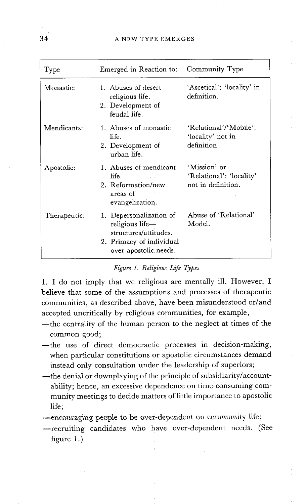| Type         | Emerged in Reaction to: Community Type                                                                                   |                                                                |
|--------------|--------------------------------------------------------------------------------------------------------------------------|----------------------------------------------------------------|
| Monastic:    | 1. Abuses of desert<br>religious life.<br>2. Development of<br>feudal life.                                              | 'Ascetical': 'locality' in<br>definition.                      |
| Mendicants:  | 1. Abuses of monastic<br>life.<br>2. Development of<br>urban life.                                                       | 'Relational'/'Mobile':<br>'locality' not in<br>definition.     |
| Apostolic:   | 1. Abuses of mendicant<br>life.<br>2. Reformation/new<br>areas of<br>evangelization.                                     | 'Mission' or<br>'Relational': 'locality'<br>not in definition. |
| Therapeutic: | 1. Depersonalization of<br>religious life-<br>structures/attitudes.<br>2. Primacy of individual<br>over apostolic needs. | Abuse of 'Relational'<br>Model.                                |

#### *Figure 1. Religious Life Types*

1. I do not imply that we religious are mentally ill. However, I believe that some of the assumptions and processes of therapeutic communities, as described above, have been misunderstood or/and accepted uncritically by religious communities, for example,

- -- the centrality of the human person to the neglect at times of the common good;
- --the use of direct democractic processes in decision-making, when particular constitutions or apostolic circumstances demand instead only consultation under the leadership of superiors;
- ~the denial or downplaying of the principle of subsidiarity/accountability; hence, an excessive dependence on time-consuming community meetings to decide matters of little importance to apostolic life;
- --encouraging people to be over-dependent on community life;
- --recruiting candidates who have over-dependent needs. (See figure 1.)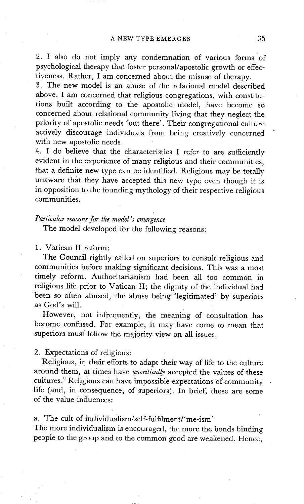2. I also do not imply any condemnation of various forms of psychological therapy that foster personal/apostolic growth or effectiveness. Rather, I am concerned about the misuse of therapy.

3. The new model is an abuse of the relational model described above. I am concerned that religious congregations, with constitutions built according to the apostolic model, have become so concerned about relational community living that they neglect the priority of apostolic needs 'out there'. Their congregational culture actively discourage individuals from being creatively concerned with new apostolic needs.

4. I do believe that the characteristics I refer to are sufficiently evident in the experience of many religious and their communities, that a definite new type can be identified. Religious may be totally unaware that they have accepted this new type even though it is in opposition to the founding mythology of their respective religious communities.

*Particular reasons for the model's emergence* 

The model developed for the following reasons:

1. Vatican II reform:

The Council rightly called on superiors to consult religious and communities before making significant decisions. This was a most timely reform. Authoritarianism had been all too common in religious life prior to Vatican II; the dignity of the individual had been so often abused, the abuse being 'legitimated' by superiors as God's will.

However, not infrequently, the meaning of consultation has become confused. For example, it may have come to mean that superiors must follow the majority view on all issues.

2. Expectations of religious:

Religious, in their efforts to adapt their way of life to the culture around them, at times have *uncritically* accepted the values of these cultures. 9 Religious can have impossible expectations of community life (and, in consequence, of superiors). In brief, these are some of the value influences:

a. The cult of individualism/self-fulfilment/'me-ism'

The more individualism is encouraged, the more the bonds binding people to the group and to the common good are weakened. Hence,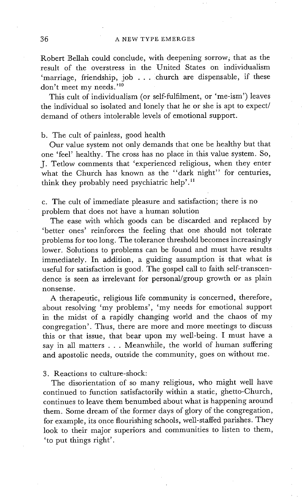Robert Bellah could conclude, with deepening sorrow, that as the result of the overstress in the United States on individualism 'marriage, friendship, job . . . Church are dispensable, if these don't meet my needs. '1°

This cult of individualism (or self-fulfilment, or 'me-ism') leaves the individual so isolated and lonely that he or she is apt to expect/ demand of others intolerable levels of emotional support.

b. The cult of painless, good health

Our value system not only demands that one be healthy but that one 'feel' healthy. The cross has no place in this value system. So, J. Tetlow comments that 'experienced religious, when they enter what the Church has known as the "dark night" for centuries, think they probably need psychiatric help'.<sup>11</sup>

c. The cult of immediate pleasure and satisfaction; there is no problem that does not have a human solution

The ease with which goods can be discarded and replaced by 'better ones' reinforces the feeling that one should not tolerate problems for too long. The tolerance threshold becomes increasingly lower. Solutions to problems can be found and must have results immediately. In addition, a guiding assumption is that what is useful for satisfaction is good. The gospel call to faith self-transcendence is seen as irrelevant for personal/group growth or as plain nonsense.

A therapeutic, religious life community is concerned, therefore, about resolving 'my problems', 'my needs for emotional support in the midst of a rapidly changing world and the chaos of my congregation'. Thus, there are more and more meetings to discuss this or that issue, that bear upon my well-being. I must have a say in all matters . . . Meanwhile, the world of human suffering and apostolic needs, outside the community, goes on without me.

3. Reactions to culture-shock:

The disorientation of so many religious, who might well have continued to function satisfactorily within a static, ghetto-Church, continues to leave them benumbed about what is happening around them. Some dream of the former days of glory of the congregation, for example, its once flourishing schools, well-staffed parishes. They look to their major superiors and communities to listen to them, 'to put things right'.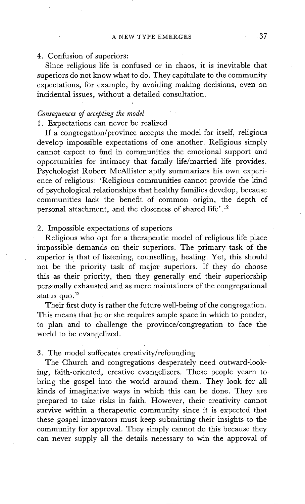### 4. Confusion of superiors:

Since religious life is confused or in chaos, it is inevitable that superiors do not know what to do. They capitulate to the community expectations, for example, by avoiding making decisions, even on incidental issues, without a detailed consultation.

## *Consequences of accepting the model*

## 1. Expectations can never be realized

If a congregation/province accepts the model for itself, religious develop impossible expectations of one another. Religious simply cannot expect to find in communities the emotional support and opportunities for intimacy that family life/married life provides. Psychologist Robert McAllister aptly summarizes his own experience of religious: 'Religious communities cannot provide the kind of psychological relationships that healthy families develop, because communities lack the benefit of common origin, the depth of personal attachment, and the closeness of shared life'.<sup>12</sup>

## 2. Impossible expectations of superiors

Religious who opt for a therapeutic model of religious life place impossible demands on their superiors. The primary task of the superior is that of listening, counselling, healing. Yet, this should not be the priority task of major superiors. If they do choose this as their priority, then they generally end their superiorship personally exhausted and as mere maintainers of the congregational status quo. $13$ 

Their first duty is rather the future well-being of the congregation. This means that he or she requires ample space in which to ponder, to plan and to challenge the province/congregation to face the world to be evangelized.

## 3. The model suffocates creativity/refounding

The Church and congregations desperately need outward-looking, faith-oriented, creative evangelizers. These people yearn to bring the gospel into the world around them. They look for all kinds of imaginative ways in which this can be done. They are prepared to take risks in faith. However, their creativity cannot survive within a therapeutic community since it is expected that these gospel innovators must keep submitting their insights to the community for approval. They simply cannot do this because they can never supply all the details necessary to win the approval of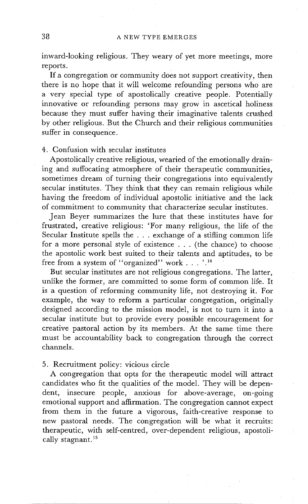inward-looking religious. They weary of yet more meetings, more reports.

If a congregation or community does not support creativity, then there is no hope that it will welcome refounding persons who are a very special type of apostolically creative people. Potentially innovative or refounding persons may grow in ascetical holiness because they must suffer having their imaginative talents crushed by other religious. But the Church and their religious communities suffer in consequence.

4. Confusion with secular institutes

Apostolically creative religious, wearied of the emotionally draining and suffocating atmosphere of their therapeutic communities, sometimes dream of turning their congregations into equivalently secular institutes. They think that they can remain religious while having the freedom of individual apostolic initiative and the lack of commitment to community that characterize secular institutes.

Jean Beyer summarizes the lure that these institutes have for frustrated, creative religious: 'For many religious, the life of the Secular Institute spells the . . . exchange of a stifling common life for a more personal style of existence . . . (the chance) to choose the apostolic work best suited to their talents and aptitudes, to be free from a system of "organized" work . . . ".<sup>14</sup>

But secular institutes are not religious congregations. The latter, unlike the former, are committed to some form of common life. It is a question of reforming community life, not destroying it. For example, the way to reform a particular congregation, originally designed according to the mission model, is not to turn it into a secular institute but to provide every possible encouragement for creative pastoral action by its members. At the same time there must be accountability back to congregation through the correct channels.

5. Recruitment policy: vicious circle

A congregation that opts for the therapeutic model will attract candidates who fit the qualities of the model. They will be dependent, insecure people, anxious for above-average, on-going emotional support and affirmation. The congregation cannot expect from them in the future a vigorous, faith-creative response to new pastoral needs. The congregation will be what it recruits: therapeutic, with self-centred, over-dependent religious, apostolically stagnant.<sup>15</sup>